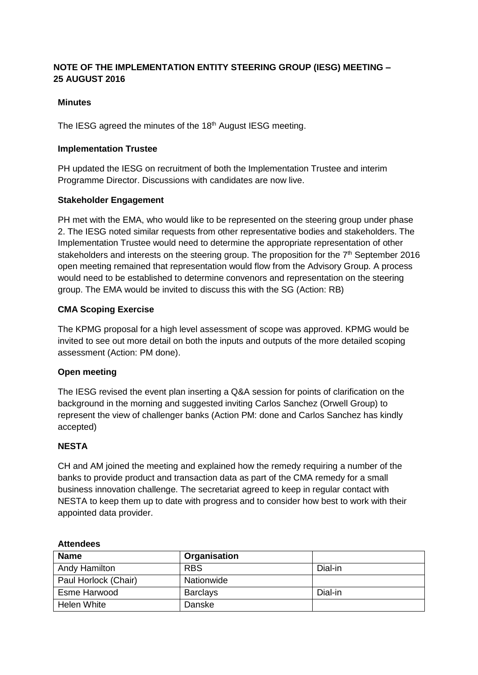## **NOTE OF THE IMPLEMENTATION ENTITY STEERING GROUP (IESG) MEETING – 25 AUGUST 2016**

## **Minutes**

The IESG agreed the minutes of the 18<sup>th</sup> August IESG meeting.

## **Implementation Trustee**

PH updated the IESG on recruitment of both the Implementation Trustee and interim Programme Director. Discussions with candidates are now live.

## **Stakeholder Engagement**

PH met with the EMA, who would like to be represented on the steering group under phase 2. The IESG noted similar requests from other representative bodies and stakeholders. The Implementation Trustee would need to determine the appropriate representation of other stakeholders and interests on the steering group. The proposition for the 7<sup>th</sup> September 2016 open meeting remained that representation would flow from the Advisory Group. A process would need to be established to determine convenors and representation on the steering group. The EMA would be invited to discuss this with the SG (Action: RB)

#### **CMA Scoping Exercise**

The KPMG proposal for a high level assessment of scope was approved. KPMG would be invited to see out more detail on both the inputs and outputs of the more detailed scoping assessment (Action: PM done).

## **Open meeting**

The IESG revised the event plan inserting a Q&A session for points of clarification on the background in the morning and suggested inviting Carlos Sanchez (Orwell Group) to represent the view of challenger banks (Action PM: done and Carlos Sanchez has kindly accepted)

## **NESTA**

CH and AM joined the meeting and explained how the remedy requiring a number of the banks to provide product and transaction data as part of the CMA remedy for a small business innovation challenge. The secretariat agreed to keep in regular contact with NESTA to keep them up to date with progress and to consider how best to work with their appointed data provider.

| <b>Name</b>          | Organisation    |         |
|----------------------|-----------------|---------|
| Andy Hamilton        | <b>RBS</b>      | Dial-in |
| Paul Horlock (Chair) | Nationwide      |         |
| Esme Harwood         | <b>Barclays</b> | Dial-in |
| Helen White          | Danske          |         |

#### **Attendees**